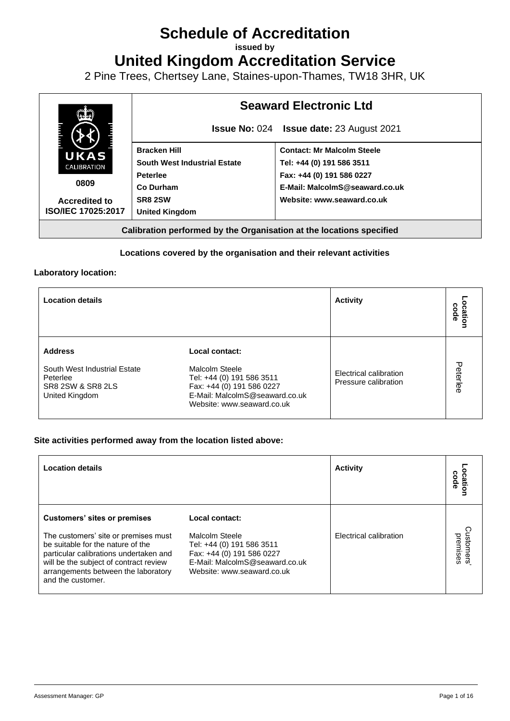# **Schedule of Accreditation**

**issued by**

**United Kingdom Accreditation Service**

2 Pine Trees, Chertsey Lane, Staines-upon-Thames, TW18 3HR, UK



#### **Locations covered by the organisation and their relevant activities**

#### **Laboratory location:**

| <b>Location details</b>                                                                           |                                                                                                                                                            | <b>Activity</b>                                | code<br>cation |
|---------------------------------------------------------------------------------------------------|------------------------------------------------------------------------------------------------------------------------------------------------------------|------------------------------------------------|----------------|
| <b>Address</b><br>South West Industrial Estate<br>Peterlee<br>SR8 2SW & SR8 2LS<br>United Kingdom | Local contact:<br>Malcolm Steele<br>Tel: +44 (0) 191 586 3511<br>Fax: +44 (0) 191 586 0227<br>E-Mail: MalcolmS@seaward.co.uk<br>Website: www.seaward.co.uk | Electrical calibration<br>Pressure calibration | Peterlee       |

#### **Site activities performed away from the location listed above:**

| <b>Location details</b>                                                                                                                                                                                                                                          |                                                                                                                                                            | <b>Activity</b>        | code                 |
|------------------------------------------------------------------------------------------------------------------------------------------------------------------------------------------------------------------------------------------------------------------|------------------------------------------------------------------------------------------------------------------------------------------------------------|------------------------|----------------------|
| <b>Customers' sites or premises</b><br>The customers' site or premises must<br>be suitable for the nature of the<br>particular calibrations undertaken and<br>will be the subject of contract review<br>arrangements between the laboratory<br>and the customer. | Local contact:<br>Malcolm Steele<br>Tel: +44 (0) 191 586 3511<br>Fax: +44 (0) 191 586 0227<br>E-Mail: MalcolmS@seaward.co.uk<br>Website: www.seaward.co.uk | Electrical calibration | ustomers<br>premises |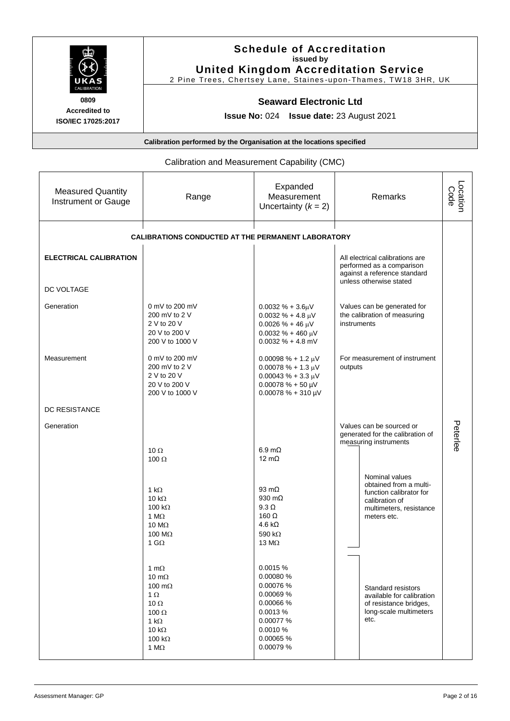| <b>UKAS</b>                                       | <b>Schedule of Accreditation</b><br>issued by<br><b>United Kingdom Accreditation Service</b><br>2 Pine Trees, Chertsey Lane, Staines-upon-Thames, TW18 3HR, UK |
|---------------------------------------------------|----------------------------------------------------------------------------------------------------------------------------------------------------------------|
| <b>CALIBRATION</b><br>0809                        | <b>Seaward Electronic Ltd</b>                                                                                                                                  |
| <b>Accredited to</b><br><b>ISO/IEC 17025:2017</b> | <b>Issue No: 024 Issue date: 23 August 2021</b>                                                                                                                |
|                                                   | Calibration performed by the Organisation at the locations specified                                                                                           |

# Calibration and Measurement Capability (CMC)

| <b>Measured Quantity</b><br>Instrument or Gauge | Range                                                                                                                                                       | Expanded<br>Measurement<br>Uncertainty $(k = 2)$                                                                                     | Remarks                                                                                                                         | Location<br>Code |
|-------------------------------------------------|-------------------------------------------------------------------------------------------------------------------------------------------------------------|--------------------------------------------------------------------------------------------------------------------------------------|---------------------------------------------------------------------------------------------------------------------------------|------------------|
|                                                 | <b>CALIBRATIONS CONDUCTED AT THE PERMANENT LABORATORY</b>                                                                                                   |                                                                                                                                      |                                                                                                                                 |                  |
| <b>ELECTRICAL CALIBRATION</b>                   |                                                                                                                                                             |                                                                                                                                      | All electrical calibrations are<br>performed as a comparison<br>against a reference standard<br>unless otherwise stated         |                  |
| DC VOLTAGE                                      |                                                                                                                                                             |                                                                                                                                      |                                                                                                                                 |                  |
| Generation                                      | 0 mV to 200 mV<br>200 mV to 2 V<br>2 V to 20 V<br>20 V to 200 V<br>200 V to 1000 V                                                                          | $0.0032 \% + 3.6 \mu V$<br>$0.0032 \% + 4.8 \mu V$<br>$0.0026 \% + 46 \mu V$<br>$0.0032 \% + 460 \mu V$<br>$0.0032 \% + 4.8$ mV      | Values can be generated for<br>the calibration of measuring<br>instruments                                                      |                  |
| Measurement                                     | 0 mV to 200 mV<br>200 mV to 2 V<br>2 V to 20 V<br>20 V to 200 V<br>200 V to 1000 V                                                                          | $0.00098 \% + 1.2 \mu V$<br>$0.00078% + 1.3 \mu V$<br>$0.00043 \% + 3.3 \mu V$<br>$0.00078 \% + 50 \mu V$<br>$0.00078 % + 310 \mu V$ | For measurement of instrument<br>outputs                                                                                        |                  |
| <b>DC RESISTANCE</b>                            |                                                                                                                                                             |                                                                                                                                      |                                                                                                                                 |                  |
| Generation                                      | 10 $\Omega$                                                                                                                                                 | $6.9 \text{ m}\Omega$                                                                                                                | Values can be sourced or<br>generated for the calibration of<br>measuring instruments                                           | Peterlee         |
|                                                 | 100 $\Omega$                                                                                                                                                | 12 $m\Omega$                                                                                                                         |                                                                                                                                 |                  |
|                                                 | 1 k $\Omega$<br>10 k $\Omega$<br>100 k $\Omega$<br>1 $M\Omega$<br>10 $M\Omega$<br>100 $M\Omega$<br>1 G $\Omega$                                             | 93 $m\Omega$<br>930 $m\Omega$<br>$9.3 \Omega$<br>160 $\Omega$<br>4.6 k $\Omega$<br>590 k $\Omega$<br>13 $M\Omega$                    | Nominal values<br>obtained from a multi-<br>function calibrator for<br>calibration of<br>multimeters, resistance<br>meters etc. |                  |
|                                                 | 1 m $\Omega$<br>10 m $\Omega$<br>100 $m\Omega$<br>$1 \Omega$<br>10 $\Omega$<br>100 $\Omega$<br>1 k $\Omega$<br>10 $k\Omega$<br>100 $k\Omega$<br>1 $M\Omega$ | 0.0015 %<br>0.00080 %<br>0.00076 %<br>0.00069 %<br>0.00066 %<br>0.0013%<br>0.00077 %<br>0.0010 %<br>0.00065 %<br>0.00079 %           | Standard resistors<br>available for calibration<br>of resistance bridges,<br>long-scale multimeters<br>etc.                     |                  |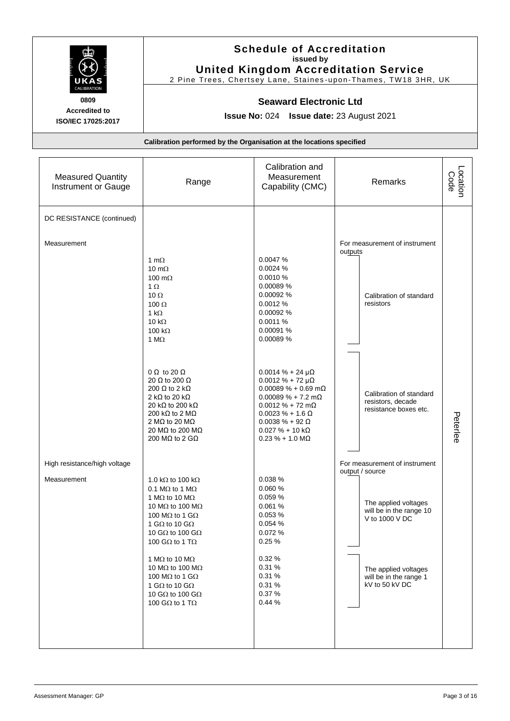

# **Schedule of Accreditation issued by United Kingdom Accreditation Service**

2 Pine Trees, Chertsey Lane, Staines -upon-Thames, TW18 3HR, UK

#### **Seaward Electronic Ltd**

**Issue No:** 024 **Issue date:** 23 August 2021

| <b>Measured Quantity</b><br>Instrument or Gauge | Range                                                                                                                                                                                                                                                                                                           | Calibration and<br>Measurement<br>Capability (CMC)                                                                                                                                                                                                                                                                        | Remarks                                                                                                               | Location<br>Code |
|-------------------------------------------------|-----------------------------------------------------------------------------------------------------------------------------------------------------------------------------------------------------------------------------------------------------------------------------------------------------------------|---------------------------------------------------------------------------------------------------------------------------------------------------------------------------------------------------------------------------------------------------------------------------------------------------------------------------|-----------------------------------------------------------------------------------------------------------------------|------------------|
| DC RESISTANCE (continued)<br>Measurement        | 1 m $\Omega$<br>10 m $\Omega$<br>100 m $\Omega$<br>$1 \Omega$<br>10 $\Omega$<br>100 $\Omega$                                                                                                                                                                                                                    | 0.0047 %<br>0.0024 %<br>0.0010 %<br>0.00089 %<br>0.00092 %<br>0.0012 %                                                                                                                                                                                                                                                    | For measurement of instrument<br>outputs<br>Calibration of standard<br>resistors                                      |                  |
|                                                 | 1 k $\Omega$<br>10 k $\Omega$<br>100 k $\Omega$<br>1 $M\Omega$<br>$0 \Omega$ to 20 $\Omega$<br>20 $\Omega$ to 200 $\Omega$<br>200 $\Omega$ to 2 k $\Omega$<br>2 k $\Omega$ to 20 k $\Omega$<br>20 kΩ to 200 kΩ<br>200 k $\Omega$ to 2 M $\Omega$<br>2 MΩ to 20 MΩ<br>20 MΩ to 200 MΩ<br>200 MΩ to 2 GΩ          | 0.00092 %<br>0.0011 %<br>0.00091 %<br>0.00089 %<br>$0.0014 \% + 24 \mu\Omega$<br>$0.0012 \% + 72 \mu\Omega$<br>$0.00089 \% + 0.69 \text{ m}\Omega$<br>$0.00089 \% + 7.2 m\Omega$<br>$0.0012 \% + 72 m\Omega$<br>$0.0023 \% + 1.6 \Omega$<br>$0.0038 \% + 92 \Omega$<br>$0.027 \% + 10 k\Omega$<br>$0.23 \% + 1.0 M\Omega$ | Calibration of standard<br>resistors, decade<br>resistance boxes etc.                                                 | Peterlee         |
| High resistance/high voltage<br>Measurement     | 1.0 k $\Omega$ to 100 k $\Omega$<br>0.1 M $\Omega$ to 1 M $\Omega$<br>1 M $\Omega$ to 10 M $\Omega$<br>10 M $\Omega$ to 100 M $\Omega$<br>100 M $\Omega$ to 1 G $\Omega$<br>1 G $\Omega$ to 10 G $\Omega$<br>10 G $\Omega$ to 100 G $\Omega$<br>100 G $\Omega$ to 1 T $\Omega$<br>1 M $\Omega$ to 10 M $\Omega$ | 0.038 %<br>0.060 %<br>0.059%<br>0.061 %<br>0.053 %<br>0.054 %<br>0.072 %<br>0.25%<br>0.32%                                                                                                                                                                                                                                | For measurement of instrument<br>output / source<br>The applied voltages<br>will be in the range 10<br>V to 1000 V DC |                  |
|                                                 | 10 M $\Omega$ to 100 M $\Omega$<br>100 M $\Omega$ to 1 G $\Omega$<br>1 G $\Omega$ to 10 G $\Omega$<br>10 G $\Omega$ to 100 G $\Omega$<br>100 G $\Omega$ to 1 T $\Omega$                                                                                                                                         | 0.31 %<br>0.31%<br>0.31%<br>0.37%<br>0.44%                                                                                                                                                                                                                                                                                | The applied voltages<br>will be in the range 1<br>kV to 50 kV DC                                                      |                  |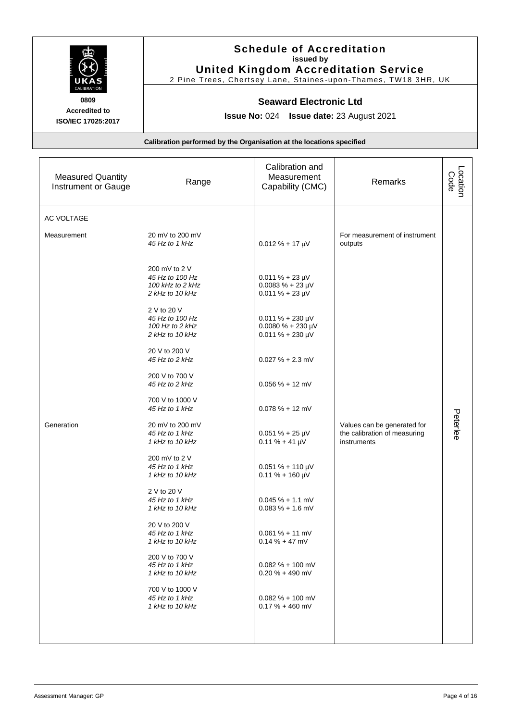

# **Schedule of Accreditation issued by United Kingdom Accreditation Service**

2 Pine Trees, Chertsey Lane, Staines -upon-Thames, TW18 3HR, UK

#### **Seaward Electronic Ltd**

**Issue No:** 024 **Issue date:** 23 August 2021

| <b>Measured Quantity</b><br>Instrument or Gauge | Range                                                                   | Calibration and<br>Measurement<br>Capability (CMC)                          | Remarks                                                                    | Location<br>Code |
|-------------------------------------------------|-------------------------------------------------------------------------|-----------------------------------------------------------------------------|----------------------------------------------------------------------------|------------------|
| <b>AC VOLTAGE</b>                               |                                                                         |                                                                             |                                                                            |                  |
| Measurement                                     | 20 mV to 200 mV<br>45 Hz to 1 kHz                                       | $0.012 \% + 17 \mu V$                                                       | For measurement of instrument<br>outputs                                   |                  |
|                                                 | 200 mV to 2 V<br>45 Hz to 100 Hz<br>100 kHz to 2 kHz<br>2 kHz to 10 kHz | $0.011 \% + 23 \mu V$<br>$0.0083 \% + 23 \mu V$<br>$0.011 \% + 23 \mu V$    |                                                                            |                  |
|                                                 | 2 V to 20 V<br>45 Hz to 100 Hz<br>100 Hz to 2 kHz<br>2 kHz to 10 kHz    | $0.011 \% + 230 \mu V$<br>$0.0080 \% + 230 \mu V$<br>$0.011 \% + 230 \mu V$ |                                                                            |                  |
|                                                 | 20 V to 200 V<br>45 Hz to 2 kHz                                         | $0.027 \% + 2.3$ mV                                                         |                                                                            |                  |
|                                                 | 200 V to 700 V<br>45 Hz to 2 kHz                                        | $0.056 \% + 12$ mV                                                          |                                                                            |                  |
|                                                 | 700 V to 1000 V<br>45 Hz to 1 kHz                                       | $0.078 \% + 12 mV$                                                          |                                                                            |                  |
| Generation                                      | 20 mV to 200 mV<br>45 Hz to 1 kHz<br>1 kHz to 10 kHz                    | $0.051 \% + 25 \mu V$<br>$0.11 \% + 41 \mu V$                               | Values can be generated for<br>the calibration of measuring<br>instruments | Peterlee         |
|                                                 | 200 mV to 2 V<br>45 Hz to 1 kHz<br>1 kHz to 10 kHz                      | $0.051 \% + 110 \mu V$<br>$0.11 \% + 160 \mu V$                             |                                                                            |                  |
|                                                 | 2 V to 20 V<br>45 Hz to 1 kHz<br>1 kHz to 10 kHz                        | $0.045 \% + 1.1 mV$<br>$0.083 \% + 1.6$ mV                                  |                                                                            |                  |
|                                                 | 20 V to 200 V<br>45 Hz to 1 kHz<br>1 kHz to 10 kHz                      | $0.061 \% + 11 mV$<br>$0.14 \% + 47$ mV                                     |                                                                            |                  |
|                                                 | 200 V to 700 V<br>45 Hz to 1 kHz<br>1 kHz to 10 kHz                     | $0.082 \% + 100$ mV<br>$0.20 \% + 490$ mV                                   |                                                                            |                  |
|                                                 | 700 V to 1000 V<br>45 Hz to 1 kHz<br>1 kHz to 10 kHz                    | $0.082 \% + 100$ mV<br>$0.17 \% + 460$ mV                                   |                                                                            |                  |
|                                                 |                                                                         |                                                                             |                                                                            |                  |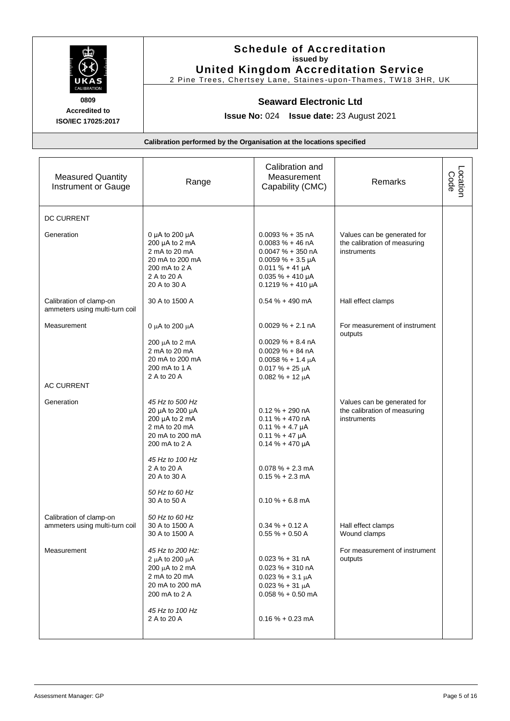

**Schedule of Accreditation issued by United Kingdom Accreditation Service**

2 Pine Trees, Chertsey Lane, Staines -upon-Thames, TW18 3HR, UK

#### **Seaward Electronic Ltd**

**Issue No:** 024 **Issue date:** 23 August 2021

| <b>Measured Quantity</b><br>Instrument or Gauge           | Range                                                                                                                                                       | Calibration and<br>Measurement<br>Capability (CMC)                                                                                                                          | Remarks                                                                    | Location<br>Code |
|-----------------------------------------------------------|-------------------------------------------------------------------------------------------------------------------------------------------------------------|-----------------------------------------------------------------------------------------------------------------------------------------------------------------------------|----------------------------------------------------------------------------|------------------|
| <b>DC CURRENT</b>                                         |                                                                                                                                                             |                                                                                                                                                                             |                                                                            |                  |
| Generation                                                | 0 µA to 200 µA<br>200 µA to 2 mA<br>2 mA to 20 mA<br>20 mA to 200 mA<br>200 mA to 2 A<br>2 A to 20 A<br>20 A to 30 A                                        | $0.0093 \% + 35 nA$<br>$0.0083 \% + 46 nA$<br>$0.0047 \% + 350 nA$<br>$0.0059 \% + 3.5 \mu A$<br>$0.011 \% + 41 \mu A$<br>$0.035 \% + 410 \mu A$<br>$0.1219 \% + 410 \mu A$ | Values can be generated for<br>the calibration of measuring<br>instruments |                  |
| Calibration of clamp-on<br>ammeters using multi-turn coil | 30 A to 1500 A                                                                                                                                              | $0.54 \% + 490$ mA                                                                                                                                                          | Hall effect clamps                                                         |                  |
| Measurement                                               | 0 $\mu$ A to 200 $\mu$ A<br>$200 \mu A$ to $2 \mu A$<br>2 mA to 20 mA<br>20 mA to 200 mA<br>200 mA to 1 A<br>2 A to 20 A                                    | $0.0029 \% + 2.1 nA$<br>$0.0029 \% + 8.4 nA$<br>$0.0029 \% + 84 nA$<br>$0.0058 \% + 1.4 \mu A$<br>$0.017 \% + 25 \mu A$<br>$0.082 \% + 12 \mu A$                            | For measurement of instrument<br>outputs                                   |                  |
| <b>AC CURRENT</b>                                         |                                                                                                                                                             |                                                                                                                                                                             |                                                                            |                  |
| Generation                                                | 45 Hz to 500 Hz<br>20 µA to 200 µA<br>200 µA to 2 mA<br>2 mA to 20 mA<br>20 mA to 200 mA<br>200 mA to 2 A<br>45 Hz to 100 Hz<br>2 A to 20 A<br>20 A to 30 A | $0.12 \% + 290 nA$<br>$0.11 \% + 470 nA$<br>$0.11 \% + 4.7 \mu A$<br>$0.11 \% + 47 \mu A$<br>$0.14 \% + 470 \mu A$<br>$0.078 \% + 2.3 mA$<br>$0.15% + 2.3$ mA               | Values can be generated for<br>the calibration of measuring<br>instruments |                  |
|                                                           | 50 Hz to 60 Hz<br>30 A to 50 A                                                                                                                              | $0.10% + 6.8$ mA                                                                                                                                                            |                                                                            |                  |
| Calibration of clamp-on<br>ammeters using multi-turn coil | 50 Hz to 60 Hz<br>30 A to 1500 A<br>30 A to 1500 A                                                                                                          | $0.34 \% + 0.12 A$<br>$0.55% + 0.50A$                                                                                                                                       | Hall effect clamps<br>Wound clamps                                         |                  |
| Measurement                                               | 45 Hz to 200 Hz:<br>2 $\mu$ A to 200 $\mu$ A<br>200 $\mu$ A to 2 mA<br>2 mA to 20 mA<br>20 mA to 200 mA<br>200 mA to 2 A<br>45 Hz to 100 Hz<br>2 A to 20 A  | $0.023 \% + 31 nA$<br>$0.023 \% + 310 nA$<br>$0.023 \% + 3.1 \mu A$<br>$0.023 \% + 31 \mu A$<br>$0.058 \% + 0.50 mA$<br>$0.16% + 0.23$ mA                                   | For measurement of instrument<br>outputs                                   |                  |
|                                                           |                                                                                                                                                             |                                                                                                                                                                             |                                                                            |                  |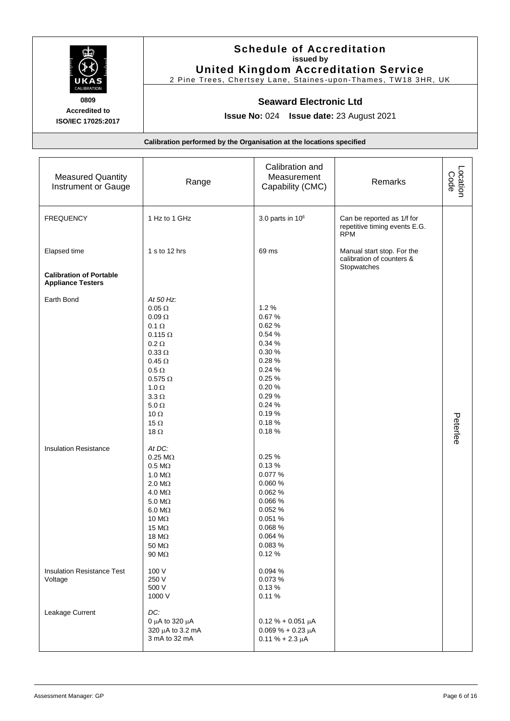

# **Schedule of Accreditation issued by United Kingdom Accreditation Service**

2 Pine Trees, Chertsey Lane, Staines -upon-Thames, TW18 3HR, UK

#### **Seaward Electronic Ltd**

**Issue No:** 024 **Issue date:** 23 August 2021

| <b>Measured Quantity</b><br>Instrument or Gauge            | Range                                                                                                                                                                                                                                                              | Calibration and<br>Measurement<br>Capability (CMC)                                                                                  | Remarks                                                                   | Location<br>Code |
|------------------------------------------------------------|--------------------------------------------------------------------------------------------------------------------------------------------------------------------------------------------------------------------------------------------------------------------|-------------------------------------------------------------------------------------------------------------------------------------|---------------------------------------------------------------------------|------------------|
| <b>FREQUENCY</b>                                           | 1 Hz to 1 GHz                                                                                                                                                                                                                                                      | 3.0 parts in $10^6$                                                                                                                 | Can be reported as 1/f for<br>repetitive timing events E.G.<br><b>RPM</b> |                  |
| Elapsed time                                               | 1 s to 12 hrs                                                                                                                                                                                                                                                      | 69 ms                                                                                                                               | Manual start stop. For the<br>calibration of counters &<br>Stopwatches    |                  |
| <b>Calibration of Portable</b><br><b>Appliance Testers</b> |                                                                                                                                                                                                                                                                    |                                                                                                                                     |                                                                           |                  |
| Earth Bond                                                 | At 50 Hz:<br>$0.05 \Omega$<br>$0.09\,\Omega$<br>$0.1 \Omega$<br>$0.115 \Omega$<br>$0.2 \Omega$<br>$0.33 \Omega$<br>$0.45\,\Omega$<br>$0.5\,\Omega$<br>$0.575\ \Omega$<br>1.0 $\Omega$<br>$3.3 \Omega$<br>$5.0 \Omega$<br>10 $\Omega$<br>15 $\Omega$<br>18 $\Omega$ | 1.2%<br>0.67%<br>0.62%<br>0.54%<br>0.34 %<br>0.30%<br>0.28%<br>0.24%<br>0.25%<br>0.20%<br>0.29%<br>0.24%<br>0.19%<br>0.18%<br>0.18% |                                                                           | Peterlee         |
| <b>Insulation Resistance</b>                               | At DC:<br>$0.25 \text{ M}\Omega$<br>$0.5\ \mathrm{M}\Omega$<br>1.0 $M\Omega$<br>$2.0 M\Omega$<br>4.0 $M\Omega$<br>5.0 $M\Omega$<br>$6.0 M\Omega$<br>10 $M\Omega$<br>15 $M\Omega$<br>18 $M\Omega$<br>50 $M\Omega$<br>90 MΩ                                          | 0.25%<br>0.13%<br>0.077 %<br>0.060 %<br>0.062 %<br>0.066 %<br>0.052 %<br>0.051%<br>0.068 %<br>0.064 %<br>0.083 %<br>0.12%           |                                                                           |                  |
| <b>Insulation Resistance Test</b><br>Voltage               | 100 V<br>250 V<br>500 V<br>1000 V                                                                                                                                                                                                                                  | 0.094 %<br>0.073 %<br>0.13%<br>0.11%                                                                                                |                                                                           |                  |
| Leakage Current                                            | DC:<br>0 μA to 320 μA<br>320 µA to 3.2 mA<br>3 mA to 32 mA                                                                                                                                                                                                         | $0.12% + 0.051 \mu A$<br>$0.069% + 0.23 \mu A$<br>$0.11 \% + 2.3 \mu A$                                                             |                                                                           |                  |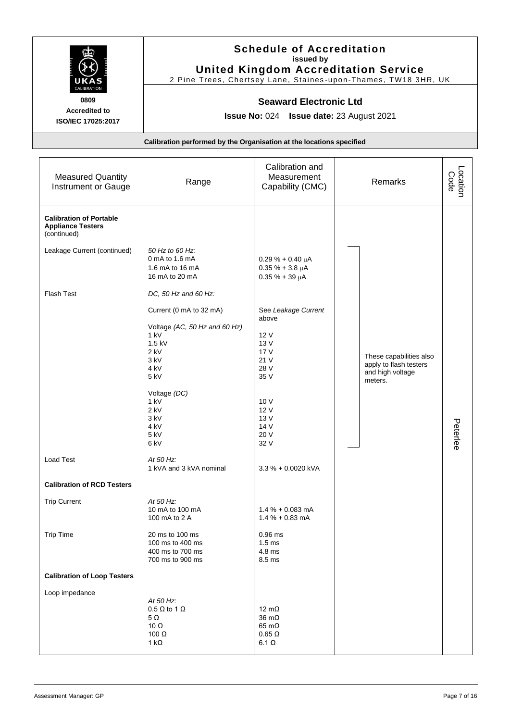

# **Schedule of Accreditation issued by United Kingdom Accreditation Service**

2 Pine Trees, Chertsey Lane, Staines -upon-Thames, TW18 3HR, UK

#### **Seaward Electronic Ltd**

**Issue No:** 024 **Issue date:** 23 August 2021

| <b>Measured Quantity</b><br>Instrument or Gauge                           | Range                                                                  | Calibration and<br>Measurement<br>Capability (CMC)                    | Remarks                                    | Location<br>Code |
|---------------------------------------------------------------------------|------------------------------------------------------------------------|-----------------------------------------------------------------------|--------------------------------------------|------------------|
| <b>Calibration of Portable</b><br><b>Appliance Testers</b><br>(continued) |                                                                        |                                                                       |                                            |                  |
| Leakage Current (continued)                                               | 50 Hz to 60 Hz:<br>0 mA to 1.6 mA<br>1.6 mA to 16 mA<br>16 mA to 20 mA | $0.29% + 0.40 \mu A$<br>$0.35 \% + 3.8 \mu A$<br>$0.35 \% + 39 \mu A$ |                                            |                  |
| <b>Flash Test</b>                                                         | DC, 50 Hz and 60 Hz:                                                   |                                                                       |                                            |                  |
|                                                                           | Current (0 mA to 32 mA)<br>Voltage (AC, 50 Hz and 60 Hz)               | See Leakage Current<br>above                                          |                                            |                  |
|                                                                           | 1 kV                                                                   | 12 V                                                                  |                                            |                  |
|                                                                           | 1.5 kV                                                                 | 13 V                                                                  |                                            |                  |
|                                                                           | $2$ kV                                                                 | 17 V                                                                  |                                            |                  |
|                                                                           | 3 kV                                                                   | 21 V                                                                  | These capabilities also                    |                  |
|                                                                           | 4 kV                                                                   | 28 V                                                                  | apply to flash testers<br>and high voltage |                  |
|                                                                           | 5 kV                                                                   | 35 V                                                                  | meters.                                    |                  |
|                                                                           | Voltage (DC)                                                           |                                                                       |                                            |                  |
|                                                                           | 1 kV                                                                   | 10 V                                                                  |                                            |                  |
|                                                                           | $2$ kV                                                                 | 12 V                                                                  |                                            |                  |
|                                                                           | 3 kV                                                                   | 13 V                                                                  |                                            |                  |
|                                                                           | 4 <sub>kV</sub>                                                        | 14 V                                                                  |                                            | Peterlee         |
|                                                                           | 5 kV                                                                   | 20 V                                                                  |                                            |                  |
|                                                                           | 6 kV                                                                   | 32 V                                                                  |                                            |                  |
| Load Test                                                                 | At 50 Hz:<br>1 kVA and 3 kVA nominal                                   | 3.3 % + 0.0020 kVA                                                    |                                            |                  |
| <b>Calibration of RCD Testers</b>                                         |                                                                        |                                                                       |                                            |                  |
| <b>Trip Current</b>                                                       | At 50 Hz:                                                              |                                                                       |                                            |                  |
|                                                                           | 10 mA to 100 mA<br>100 mA to 2 A                                       | $1.4\% + 0.083$ mA<br>$1.4% + 0.83$ mA                                |                                            |                  |
| <b>Trip Time</b>                                                          | 20 ms to 100 ms                                                        | $0.96$ ms                                                             |                                            |                  |
|                                                                           | 100 ms to 400 ms                                                       | $1.5 \text{ ms}$                                                      |                                            |                  |
|                                                                           | 400 ms to 700 ms                                                       | 4.8 ms                                                                |                                            |                  |
|                                                                           | 700 ms to 900 ms                                                       | 8.5 ms                                                                |                                            |                  |
| <b>Calibration of Loop Testers</b>                                        |                                                                        |                                                                       |                                            |                  |
| Loop impedance                                                            |                                                                        |                                                                       |                                            |                  |
|                                                                           | At 50 Hz:                                                              |                                                                       |                                            |                  |
|                                                                           | $0.5 \Omega$ to 1 $\Omega$                                             | 12 $m\Omega$                                                          |                                            |                  |
|                                                                           | $5\Omega$                                                              | $36 \text{ m}\Omega$                                                  |                                            |                  |
|                                                                           | 10 $\Omega$                                                            | $65 \text{ m}\Omega$                                                  |                                            |                  |
|                                                                           | 100 $\Omega$                                                           | $0.65 \Omega$                                                         |                                            |                  |
|                                                                           | 1 k $\Omega$                                                           | $6.1 \Omega$                                                          |                                            |                  |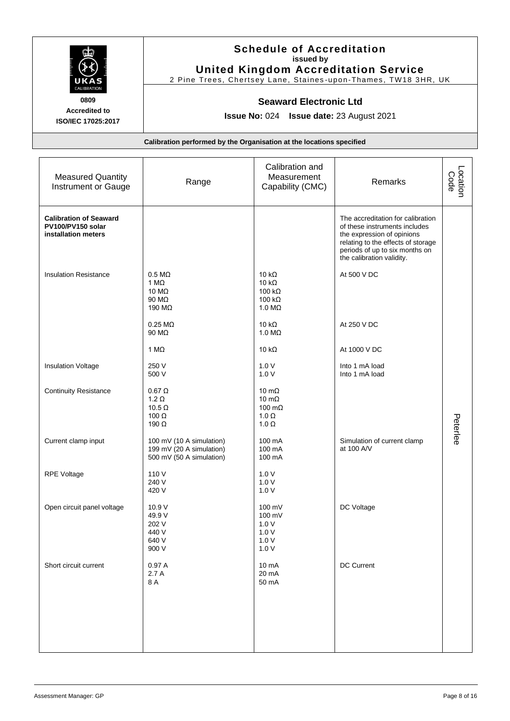

# **Schedule of Accreditation issued by United Kingdom Accreditation Service**

2 Pine Trees, Chertsey Lane, Staines -upon-Thames, TW18 3HR, UK

#### **Seaward Electronic Ltd**

**Issue No:** 024 **Issue date:** 23 August 2021

| <b>Measured Quantity</b><br>Instrument or Gauge                           | Range                                                                            | Calibration and<br>Measurement<br>Capability (CMC)                              | Remarks                                                                                                                                                                                               | Location<br>Code |
|---------------------------------------------------------------------------|----------------------------------------------------------------------------------|---------------------------------------------------------------------------------|-------------------------------------------------------------------------------------------------------------------------------------------------------------------------------------------------------|------------------|
| <b>Calibration of Seaward</b><br>PV100/PV150 solar<br>installation meters |                                                                                  |                                                                                 | The accreditation for calibration<br>of these instruments includes<br>the expression of opinions<br>relating to the effects of storage<br>periods of up to six months on<br>the calibration validity. |                  |
| <b>Insulation Resistance</b>                                              | $0.5 M\Omega$<br>1 M $\Omega$<br>10 MΩ<br>90 MΩ<br>190 MΩ                        | 10 $k\Omega$<br>10 $k\Omega$<br>100 $k\Omega$<br>100 $k\Omega$<br>$1.0 M\Omega$ | At 500 V DC                                                                                                                                                                                           |                  |
|                                                                           | $0.25 \text{ M}\Omega$<br>90 MΩ                                                  | 10 $k\Omega$<br>$1.0 M\Omega$                                                   | At 250 V DC                                                                                                                                                                                           |                  |
|                                                                           | 1 $M\Omega$                                                                      | 10 k $\Omega$                                                                   | At 1000 V DC                                                                                                                                                                                          |                  |
| <b>Insulation Voltage</b>                                                 | 250 V<br>500 V                                                                   | 1.0V<br>1.0V                                                                    | Into 1 mA load<br>Into 1 mA load                                                                                                                                                                      |                  |
| <b>Continuity Resistance</b>                                              | $0.67 \Omega$<br>$1.2 \Omega$<br>$10.5 \Omega$<br>100 $\Omega$<br>190 $\Omega$   | 10 m $\Omega$<br>10 m $\Omega$<br>100 $m\Omega$<br>1.0 $\Omega$<br>$1.0 \Omega$ |                                                                                                                                                                                                       | Peterlee         |
| Current clamp input                                                       | 100 mV (10 A simulation)<br>199 mV (20 A simulation)<br>500 mV (50 A simulation) | 100 mA<br>100 mA<br>100 mA                                                      | Simulation of current clamp<br>at 100 A/V                                                                                                                                                             |                  |
| <b>RPE Voltage</b>                                                        | 110V<br>240 V<br>420 V                                                           | 1.0V<br>1.0V<br>1.0V                                                            |                                                                                                                                                                                                       |                  |
| Open circuit panel voltage                                                | 10.9 V<br>49.9 V<br>202 V<br>440 V<br>640 V<br>900 V                             | 100 mV<br>100 mV<br>1.0V<br>1.0V<br>$1.0 V$<br>1.0V                             | DC Voltage                                                                                                                                                                                            |                  |
| Short circuit current                                                     | 0.97A<br>2.7A<br>8 A                                                             | 10 mA<br>20 mA<br>50 mA                                                         | DC Current                                                                                                                                                                                            |                  |
|                                                                           |                                                                                  |                                                                                 |                                                                                                                                                                                                       |                  |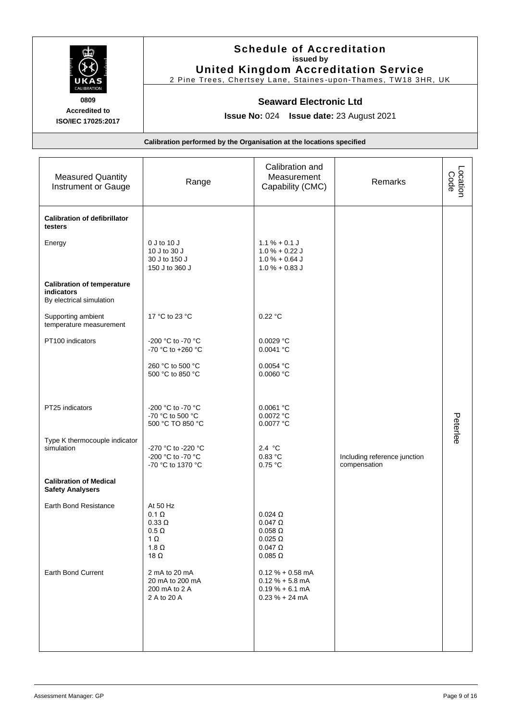

## **Schedule of Accreditation issued by United Kingdom Accreditation Service**

2 Pine Trees, Chertsey Lane, Staines -upon-Thames, TW18 3HR, UK

#### **Seaward Electronic Ltd**

**Issue No:** 024 **Issue date:** 23 August 2021

| <b>Measured Quantity</b><br>Instrument or Gauge                             | Range                                                                                                  | Calibration and<br>Measurement<br>Capability (CMC)                                                           | Remarks                                      | Location<br>Code |
|-----------------------------------------------------------------------------|--------------------------------------------------------------------------------------------------------|--------------------------------------------------------------------------------------------------------------|----------------------------------------------|------------------|
| <b>Calibration of defibrillator</b><br>testers                              |                                                                                                        |                                                                                                              |                                              |                  |
| Energy                                                                      | 0 J to 10 J<br>10 J to 30 J<br>30 J to 150 J<br>150 J to 360 J                                         | $1.1 \% + 0.1 J$<br>$1.0% + 0.22$ J<br>$1.0 \% + 0.64 J$<br>$1.0% + 0.83$ J                                  |                                              |                  |
| <b>Calibration of temperature</b><br>indicators<br>By electrical simulation |                                                                                                        |                                                                                                              |                                              |                  |
| Supporting ambient<br>temperature measurement                               | 17 °C to 23 °C                                                                                         | 0.22 °C                                                                                                      |                                              |                  |
| PT100 indicators                                                            | -200 °C to -70 °C<br>-70 °C to +260 °C                                                                 | 0.0029 °C<br>0.0041 °C                                                                                       |                                              |                  |
|                                                                             | 260 °C to 500 °C<br>500 °C to 850 °C                                                                   | 0.0054 °C<br>0.0060 °C                                                                                       |                                              |                  |
| PT25 indicators                                                             | -200 °C to -70 °C<br>-70 °C to 500 °C<br>500 °C TO 850 °C                                              | 0.0061 °C<br>0.0072 °C<br>0.0077 °C                                                                          |                                              | Peterlee         |
| Type K thermocouple indicator<br>simulation                                 | -270 °C to -220 °C<br>-200 °C to -70 °C<br>-70 °C to 1370 °C                                           | 2.4 $^{\circ}$ C<br>0.83 °C<br>0.75 °C                                                                       | Including reference junction<br>compensation |                  |
| <b>Calibration of Medical</b><br><b>Safety Analysers</b>                    |                                                                                                        |                                                                                                              |                                              |                  |
| Earth Bond Resistance                                                       | At 50 Hz<br>$0.1 \Omega$<br>$0.33 \Omega$<br>$0.5 \Omega$<br>$1 \Omega$<br>1.8 $\Omega$<br>18 $\Omega$ | $0.024$ $\Omega$<br>$0.047 \Omega$<br>$0.058$ $\Omega$<br>$0.025 \Omega$<br>$0.047 \Omega$<br>$0.085 \Omega$ |                                              |                  |
| <b>Earth Bond Current</b>                                                   | 2 mA to 20 mA<br>20 mA to 200 mA<br>200 mA to 2 A<br>2 A to 20 A                                       | $0.12 \% + 0.58$ mA<br>$0.12 \% + 5.8$ mA<br>$0.19% + 6.1$ mA<br>$0.23% + 24mA$                              |                                              |                  |
|                                                                             |                                                                                                        |                                                                                                              |                                              |                  |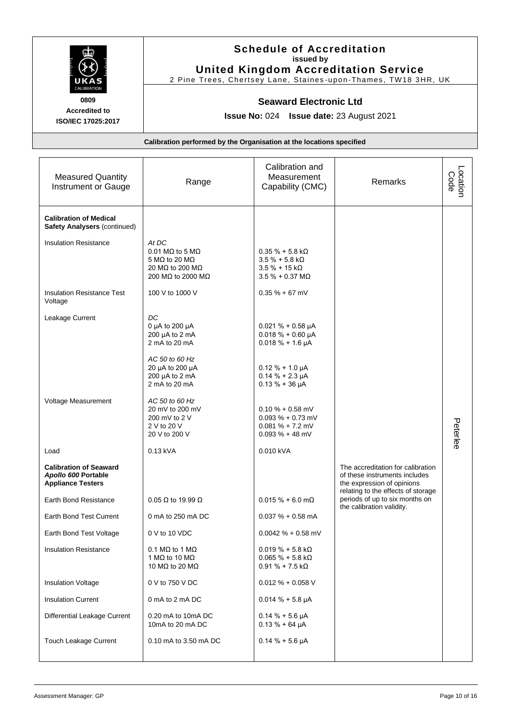

# **Schedule of Accreditation issued by United Kingdom Accreditation Service**

2 Pine Trees, Chertsey Lane, Staines -upon-Thames, TW18 3HR, UK

#### **Seaward Electronic Ltd**

**Issue No:** 024 **Issue date:** 23 August 2021

| <b>Measured Quantity</b><br>Instrument or Gauge                                  | Range                                                                                                               | Calibration and<br>Measurement<br>Capability (CMC)                                                  | Remarks                                                                                           | Location<br>Code |
|----------------------------------------------------------------------------------|---------------------------------------------------------------------------------------------------------------------|-----------------------------------------------------------------------------------------------------|---------------------------------------------------------------------------------------------------|------------------|
| <b>Calibration of Medical</b><br><b>Safety Analysers (continued)</b>             |                                                                                                                     |                                                                                                     |                                                                                                   |                  |
| <b>Insulation Resistance</b>                                                     | At DC<br>$0.01$ M $\Omega$ to 5 M $\Omega$<br>5 M $\Omega$ to 20 M $\Omega$<br>20 MΩ to 200 MΩ<br>200 MΩ to 2000 MΩ | $0.35 \% + 5.8 k\Omega$<br>$3.5 \% + 5.8 k\Omega$<br>$3.5 \% + 15 k\Omega$<br>$3.5% + 0.37 M\Omega$ |                                                                                                   |                  |
| <b>Insulation Resistance Test</b><br>Voltage                                     | 100 V to 1000 V                                                                                                     | $0.35% + 67$ mV                                                                                     |                                                                                                   |                  |
| Leakage Current                                                                  | DC<br>0 µA to 200 µA<br>200 µA to 2 mA<br>2 mA to 20 mA                                                             | $0.021 \% + 0.58 \mu A$<br>$0.018 \% + 0.60 \mu A$<br>$0.018 \% + 1.6 \mu A$                        |                                                                                                   |                  |
|                                                                                  | AC 50 to 60 Hz<br>20 µA to 200 µA<br>200 µA to 2 mA<br>2 mA to 20 mA                                                | $0.12 \% + 1.0 \mu A$<br>$0.14 \% + 2.3 \mu A$<br>$0.13 \% + 36 \mu A$                              |                                                                                                   |                  |
| Voltage Measurement                                                              | AC 50 to 60 Hz<br>20 mV to 200 mV<br>200 mV to 2 V<br>2 V to 20 V<br>20 V to 200 V                                  | $0.10 \% + 0.58$ mV<br>$0.093 \% + 0.73$ mV<br>$0.081 \% + 7.2$ mV<br>$0.093 \% + 48$ mV            |                                                                                                   | Peterlee         |
| Load                                                                             | 0.13 kVA                                                                                                            | 0.010 kVA                                                                                           |                                                                                                   |                  |
| <b>Calibration of Seaward</b><br>Apollo 600 Portable<br><b>Appliance Testers</b> |                                                                                                                     |                                                                                                     | The accreditation for calibration<br>of these instruments includes<br>the expression of opinions  |                  |
| Earth Bond Resistance                                                            | $0.05 \Omega$ to 19.99 $\Omega$                                                                                     | $0.015% + 6.0$ m $\Omega$                                                                           | relating to the effects of storage<br>periods of up to six months on<br>the calibration validity. |                  |
| Earth Bond Test Current                                                          | 0 mA to 250 mA DC                                                                                                   | $0.037 \% + 0.58$ mA                                                                                |                                                                                                   |                  |
| Earth Bond Test Voltage                                                          | 0 V to 10 VDC                                                                                                       | $0.0042 \% + 0.58$ mV                                                                               |                                                                                                   |                  |
| <b>Insulation Resistance</b>                                                     | 0.1 MQ to 1 MQ<br>1 M $\Omega$ to 10 M $\Omega$<br>10 M $\Omega$ to 20 M $\Omega$                                   | $0.019 \% + 5.8 K\Omega$<br>$0.065 \% + 5.8 k\Omega$<br>$0.91 \% + 7.5 k\Omega$                     |                                                                                                   |                  |
| <b>Insulation Voltage</b>                                                        | 0 V to 750 V DC                                                                                                     | $0.012 \% + 0.058 V$                                                                                |                                                                                                   |                  |
| <b>Insulation Current</b>                                                        | 0 mA to 2 mA DC                                                                                                     | $0.014 \% + 5.8 \mu A$                                                                              |                                                                                                   |                  |
| Differential Leakage Current                                                     | 0.20 mA to 10mA DC<br>10mA to 20 mA DC                                                                              | $0.14% + 5.6 \mu A$<br>$0.13 \% + 64 \mu A$                                                         |                                                                                                   |                  |
| Touch Leakage Current                                                            | 0.10 mA to 3.50 mA DC                                                                                               | $0.14% + 5.6 \mu A$                                                                                 |                                                                                                   |                  |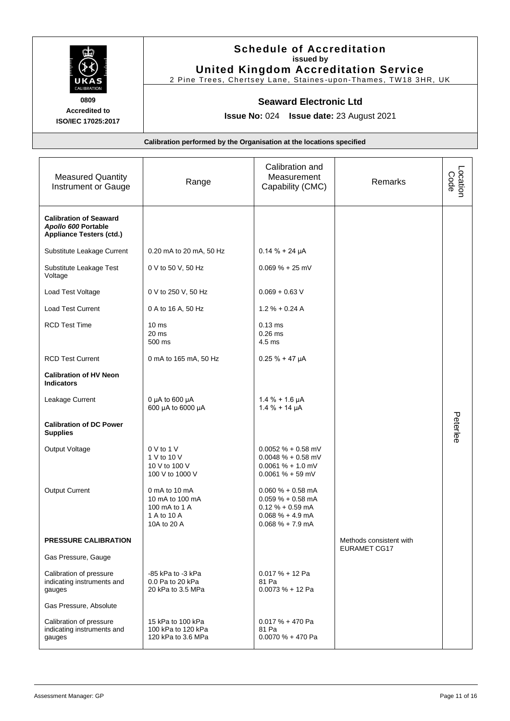

**Schedule of Accreditation issued by United Kingdom Accreditation Service**

2 Pine Trees, Chertsey Lane, Staines -upon-Thames, TW18 3HR, UK

#### **Seaward Electronic Ltd**

**Issue No:** 024 **Issue date:** 23 August 2021

| <b>Measured Quantity</b><br>Instrument or Gauge                                         | Range                                                                           | Calibration and<br>Measurement<br>Capability (CMC)                                                                        | Remarks                                        | Location<br>Code |
|-----------------------------------------------------------------------------------------|---------------------------------------------------------------------------------|---------------------------------------------------------------------------------------------------------------------------|------------------------------------------------|------------------|
| <b>Calibration of Seaward</b><br>Apollo 600 Portable<br><b>Appliance Testers (ctd.)</b> |                                                                                 |                                                                                                                           |                                                |                  |
| Substitute Leakage Current                                                              | 0.20 mA to 20 mA, 50 Hz                                                         | $0.14 \% + 24 \mu A$                                                                                                      |                                                |                  |
| Substitute Leakage Test<br>Voltage                                                      | 0 V to 50 V, 50 Hz                                                              | $0.069 \% + 25$ mV                                                                                                        |                                                |                  |
| Load Test Voltage                                                                       | 0 V to 250 V, 50 Hz                                                             | $0.069 + 0.63$ V                                                                                                          |                                                |                  |
| <b>Load Test Current</b>                                                                | 0 A to 16 A, 50 Hz                                                              | $1.2 \% + 0.24 A$                                                                                                         |                                                |                  |
| <b>RCD Test Time</b>                                                                    | 10 <sub>ms</sub><br>20 ms<br>500 ms                                             | $0.13$ ms<br>$0.26$ ms<br>$4.5$ ms                                                                                        |                                                |                  |
| <b>RCD Test Current</b>                                                                 | 0 mA to 165 mA, 50 Hz                                                           | $0.25% + 47 \mu A$                                                                                                        |                                                |                  |
| <b>Calibration of HV Neon</b><br><b>Indicators</b>                                      |                                                                                 |                                                                                                                           |                                                |                  |
| Leakage Current                                                                         | 0 $\mu$ A to 600 $\mu$ A<br>600 µA to 6000 µA                                   | $1.4% + 1.6 \mu A$<br>$1.4 \% + 14 \mu A$                                                                                 |                                                |                  |
| <b>Calibration of DC Power</b><br><b>Supplies</b>                                       |                                                                                 |                                                                                                                           |                                                | Peterlee         |
| Output Voltage                                                                          | 0 V to 1 V<br>1 V to 10 V<br>10 V to 100 V<br>100 V to 1000 V                   | $0.0052 \% + 0.58$ mV<br>$0.0048 \% + 0.58$ mV<br>$0.0061 \% + 1.0$ mV<br>$0.0061 \% + 59$ mV                             |                                                |                  |
| Output Current                                                                          | 0 mA to 10 mA<br>10 mA to 100 mA<br>100 mA to 1 A<br>1 A to 10 A<br>10A to 20 A | $0.060 \% + 0.58$ mA<br>$0.059 \% + 0.58$ mA<br>$0.12 \% + 0.59$ mA<br>$0.068 \% + 4.9 \text{ mA}$<br>$0.068 \% + 7.9 mA$ |                                                |                  |
| PRESSURE CALIBRATION                                                                    |                                                                                 |                                                                                                                           | Methods consistent with<br><b>EURAMET CG17</b> |                  |
| Gas Pressure, Gauge                                                                     |                                                                                 |                                                                                                                           |                                                |                  |
| Calibration of pressure<br>indicating instruments and<br>gauges                         | -85 kPa to -3 kPa<br>0.0 Pa to 20 kPa<br>20 kPa to 3.5 MPa                      | $0.017% + 12$ Pa<br>81 Pa<br>$0.0073% + 12$ Pa                                                                            |                                                |                  |
| Gas Pressure, Absolute                                                                  |                                                                                 |                                                                                                                           |                                                |                  |
| Calibration of pressure<br>indicating instruments and<br>gauges                         | 15 kPa to 100 kPa<br>100 kPa to 120 kPa<br>120 kPa to 3.6 MPa                   | $0.017 \% + 470$ Pa<br>81 Pa<br>$0.0070% + 470$ Pa                                                                        |                                                |                  |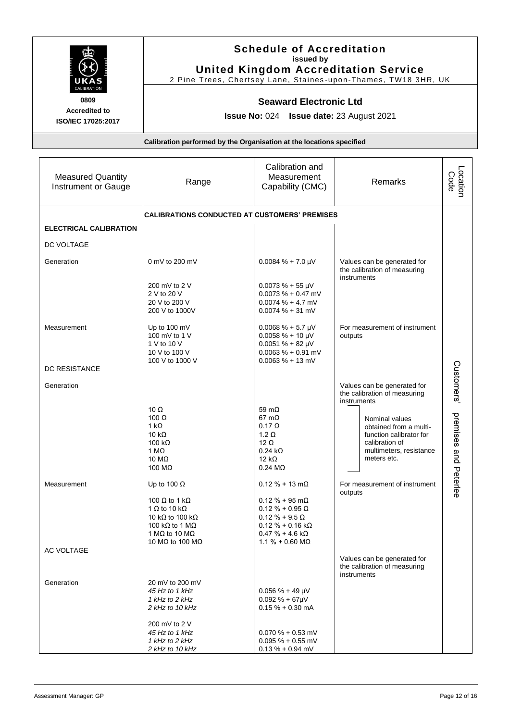| <b>ALIBRATION</b><br>0809                                            | <b>Schedule of Accreditation</b><br>issued by<br><b>United Kingdom Accreditation Service</b><br>2 Pine Trees, Chertsey Lane, Staines-upon-Thames, TW18 3HR, UK<br><b>Seaward Electronic Ltd</b> |                                                                                                                            |                                                                            |                  |  |
|----------------------------------------------------------------------|-------------------------------------------------------------------------------------------------------------------------------------------------------------------------------------------------|----------------------------------------------------------------------------------------------------------------------------|----------------------------------------------------------------------------|------------------|--|
| <b>Accredited to</b><br>ISO/IEC 17025:2017                           | <b>Issue No: 024 Issue date: 23 August 2021</b>                                                                                                                                                 |                                                                                                                            |                                                                            |                  |  |
| Calibration performed by the Organisation at the locations specified |                                                                                                                                                                                                 |                                                                                                                            |                                                                            |                  |  |
| <b>Measured Quantity</b><br>Instrument or Gauge                      | Range                                                                                                                                                                                           | Calibration and<br>Measurement<br>Capability (CMC)                                                                         | Remarks                                                                    | Location<br>Code |  |
| <b>CALIBRATIONS CONDUCTED AT CUSTOMERS' PREMISES</b>                 |                                                                                                                                                                                                 |                                                                                                                            |                                                                            |                  |  |
| <b>ELECTRICAL CALIBRATION</b>                                        |                                                                                                                                                                                                 |                                                                                                                            |                                                                            |                  |  |
| DC VOLTAGE                                                           |                                                                                                                                                                                                 |                                                                                                                            |                                                                            |                  |  |
| Generation                                                           | 0 mV to 200 mV<br>200 mV to 2 V<br>2 V to 20 V<br>20 V to 200 V<br>200 V to 1000V                                                                                                               | $0.0084 \% + 7.0 \mu V$<br>$0.0073 \% + 55 \mu V$<br>$0.0073 \% + 0.47$ mV<br>$0.0074 \% + 4.7$ mV<br>$0.0074 \% + 31 mV$  | Values can be generated for<br>the calibration of measuring<br>instruments |                  |  |
| Measurement<br><b>DC RESISTANCE</b>                                  | Up to 100 mV<br>100 mV to 1 V<br>1 V to 10 V<br>10 V to 100 V<br>100 V to 1000 V                                                                                                                | $0.0068 \% + 5.7 \mu V$<br>$0.0058 \% + 10 \mu V$<br>$0.0051 \% + 82 \mu V$<br>$0.0063 % + 0.91 mV$<br>$0.0063 \% + 13$ mV | For measurement of instrument<br>outputs                                   |                  |  |
| Generation                                                           | 10 <sub>O</sub>                                                                                                                                                                                 | $59 \text{ m}$                                                                                                             | Values can be generated for<br>the calibration of measuring<br>instruments | Customers        |  |

|             | 1 M $\Omega$<br>10 $M\Omega$<br>100 MΩ | $0.24 k\Omega$<br>12 k $\Omega$<br>$0.24 \text{ M}\Omega$ | multimeters, resistance<br>meters etc.                      |
|-------------|----------------------------------------|-----------------------------------------------------------|-------------------------------------------------------------|
| Measurement | Up to 100 $\Omega$                     | $0.12 \% + 13 m\Omega$                                    | For measurement of instrument<br>outputs                    |
|             | 100 $\Omega$ to 1 k $\Omega$           | $0.12 \% + 95 \text{ m}\Omega$                            |                                                             |
|             | 1 $\Omega$ to 10 k $\Omega$            | $0.12 \% + 0.95 \Omega$                                   |                                                             |
|             | 10 kΩ to 100 kΩ                        | $0.12 \% + 9.5 \Omega$                                    |                                                             |
|             | 100 kΩ to 1 MΩ                         | $0.12 \% + 0.16 k\Omega$                                  |                                                             |
|             | 1 MQ to 10 MQ                          | $0.47 \% + 4.6 k\Omega$                                   |                                                             |
|             | 10 MΩ to 100 MΩ                        | $1.1\% + 0.60$ MQ                                         |                                                             |
| AC VOLTAGE  |                                        |                                                           |                                                             |
|             |                                        |                                                           | Values can be generated for<br>the calibration of measuring |
|             |                                        |                                                           | instruments                                                 |
| Generation  | 20 mV to 200 mV                        |                                                           |                                                             |
|             | 45 Hz to 1 kHz                         | $0.056 \% + 49 \mu V$                                     |                                                             |
|             | 1 kHz to 2 kHz                         | $0.092 \% + 67 \mu V$                                     |                                                             |
|             | 2 kHz to 10 kHz                        | $0.15% + 0.30$ mA                                         |                                                             |
|             | 200 mV to 2 V                          |                                                           |                                                             |
|             | 45 Hz to 1 kHz                         | $0.070 \% + 0.53$ mV                                      |                                                             |
|             | 1 kHz to 2 kHz                         | $0.095 \% + 0.55$ mV                                      |                                                             |
|             | 2 kHz to 10 kHz                        | $0.13 \% + 0.94$ mV                                       |                                                             |

10 Ω 59 mΩ

100  $\Omega$  67 m $\Omega$  $1 k\Omega$  0.17  $\Omega$ 10 kΩ  $1.2$  Ω  $100 \text{ k}\Omega$  12 Ω

premises and Peterlee

Nominal values obtained from a multifunction calibrator for calibration of

and Peterlee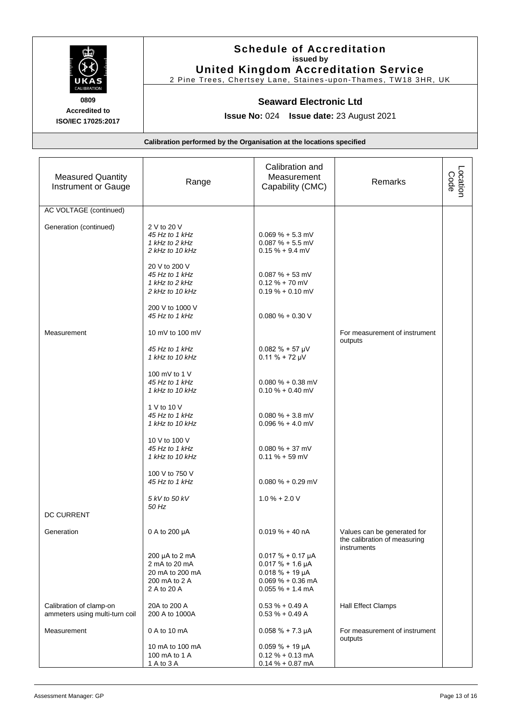

# **Schedule of Accreditation issued by United Kingdom Accreditation Service**

2 Pine Trees, Chertsey Lane, Staines -upon-Thames, TW18 3HR, UK

#### **Seaward Electronic Ltd**

**Issue No:** 024 **Issue date:** 23 August 2021

| <b>Measured Quantity</b><br>Instrument or Gauge           | Range                                                                                   | Calibration and<br>Measurement<br>Capability (CMC)                                                                        | Remarks                                                     | Location<br>Code |
|-----------------------------------------------------------|-----------------------------------------------------------------------------------------|---------------------------------------------------------------------------------------------------------------------------|-------------------------------------------------------------|------------------|
| <b>AC VOLTAGE (continued)</b>                             |                                                                                         |                                                                                                                           |                                                             |                  |
| Generation (continued)                                    | 2 V to 20 V<br>45 Hz to 1 kHz<br>1 kHz to 2 kHz<br>2 kHz to 10 kHz<br>20 V to 200 V     | $0.069\% + 5.3$ mV<br>$0.087 \% + 5.5$ mV<br>$0.15% + 9.4$ mV                                                             |                                                             |                  |
|                                                           | 45 Hz to 1 kHz<br>1 kHz to 2 kHz<br>2 kHz to 10 kHz                                     | $0.087 \% + 53$ mV<br>$0.12 \% + 70$ mV<br>$0.19\% + 0.10$ mV                                                             |                                                             |                  |
|                                                           | 200 V to 1000 V<br>45 Hz to 1 kHz                                                       | $0.080\% + 0.30V$                                                                                                         |                                                             |                  |
| Measurement                                               | 10 mV to 100 mV                                                                         |                                                                                                                           | For measurement of instrument<br>outputs                    |                  |
|                                                           | 45 Hz to 1 kHz<br>1 kHz to 10 kHz                                                       | $0.082 \% + 57 \mu V$<br>$0.11 \% + 72 \mu V$                                                                             |                                                             |                  |
|                                                           | 100 mV to 1 V<br>45 Hz to 1 kHz<br>1 kHz to 10 kHz                                      | $0.080 \% + 0.38$ mV<br>$0.10 \% + 0.40$ mV                                                                               |                                                             |                  |
|                                                           | 1 V to 10 V<br>45 Hz to 1 kHz<br>1 kHz to 10 kHz                                        | $0.080 \% + 3.8$ mV<br>$0.096 \% + 4.0 mV$                                                                                |                                                             |                  |
|                                                           | 10 V to 100 V<br>45 Hz to 1 kHz<br>1 kHz to 10 kHz                                      | $0.080 \% + 37$ mV<br>$0.11 \% + 59$ mV                                                                                   |                                                             |                  |
|                                                           | 100 V to 750 V<br>45 Hz to 1 kHz                                                        | $0.080 \% + 0.29$ mV                                                                                                      |                                                             |                  |
|                                                           | 5 kV to 50 kV<br>50 Hz                                                                  | $1.0% + 2.0V$                                                                                                             |                                                             |                  |
| <b>DC CURRENT</b>                                         |                                                                                         |                                                                                                                           |                                                             |                  |
| Generation                                                | 0 A to 200 µA                                                                           | $0.019 \% + 40 nA$                                                                                                        | Values can be generated for<br>the calibration of measuring |                  |
|                                                           | 200 $\mu$ A to 2 mA<br>2 mA to 20 mA<br>20 mA to 200 mA<br>200 mA to 2 A<br>2 A to 20 A | $0.017 \% + 0.17 \mu A$<br>$0.017 \% + 1.6 \mu A$<br>$0.018 \% + 19 \mu A$<br>$0.069 \% + 0.36$ mA<br>$0.055 \% + 1.4 mA$ | instruments                                                 |                  |
| Calibration of clamp-on<br>ammeters using multi-turn coil | 20A to 200 A<br>200 A to 1000A                                                          | $0.53 \% + 0.49 A$<br>$0.53 \% + 0.49 A$                                                                                  | <b>Hall Effect Clamps</b>                                   |                  |
| Measurement                                               | 0 A to 10 mA                                                                            | $0.058 \% + 7.3 \mu A$                                                                                                    | For measurement of instrument<br>outputs                    |                  |
|                                                           | 10 mA to 100 mA<br>100 mA to 1 A<br>1 A to 3 A                                          | $0.059 \% + 19 \mu A$<br>$0.12% + 0.13$ mA<br>$0.14 \% + 0.87 mA$                                                         |                                                             |                  |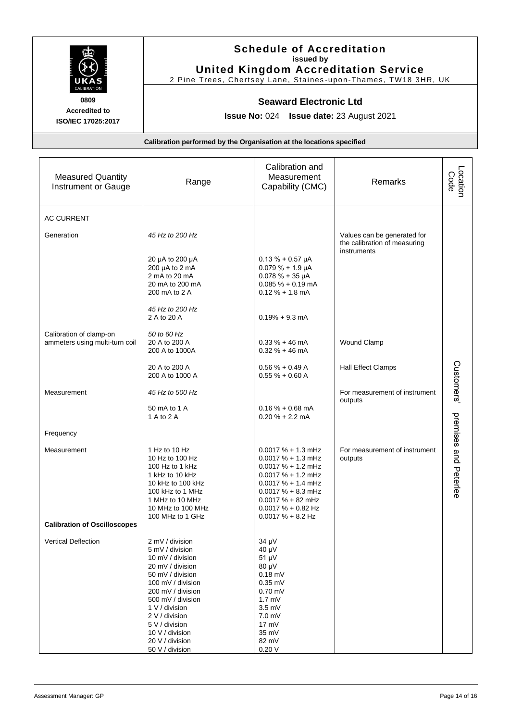

# **Schedule of Accreditation issued by United Kingdom Accreditation Service**

2 Pine Trees, Chertsey Lane, Staines -upon-Thames, TW18 3HR, UK

#### **Seaward Electronic Ltd**

**Issue No:** 024 **Issue date:** 23 August 2021

| <b>Measured Quantity</b><br>Instrument or Gauge           | Range                                                                                                                                                                                                                                                                        | Calibration and<br>Measurement<br>Capability (CMC)                                                                                                                                                                          | Remarks                                                     | Location<br>Code      |
|-----------------------------------------------------------|------------------------------------------------------------------------------------------------------------------------------------------------------------------------------------------------------------------------------------------------------------------------------|-----------------------------------------------------------------------------------------------------------------------------------------------------------------------------------------------------------------------------|-------------------------------------------------------------|-----------------------|
| <b>AC CURRENT</b>                                         |                                                                                                                                                                                                                                                                              |                                                                                                                                                                                                                             |                                                             |                       |
| Generation                                                | 45 Hz to 200 Hz                                                                                                                                                                                                                                                              |                                                                                                                                                                                                                             | Values can be generated for<br>the calibration of measuring |                       |
|                                                           | 20 µA to 200 µA<br>200 µA to 2 mA<br>2 mA to 20 mA<br>20 mA to 200 mA<br>200 mA to 2 A                                                                                                                                                                                       | $0.13 \% + 0.57 \mu A$<br>$0.079% + 1.9 \mu A$<br>$0.078 \% + 35 \mu A$<br>$0.085 \% + 0.19 mA$<br>$0.12 \% + 1.8$ mA                                                                                                       | instruments                                                 |                       |
|                                                           | 45 Hz to 200 Hz<br>2 A to 20 A                                                                                                                                                                                                                                               | $0.19% + 9.3$ mA                                                                                                                                                                                                            |                                                             |                       |
| Calibration of clamp-on<br>ammeters using multi-turn coil | 50 to 60 Hz<br>20 A to 200 A<br>200 A to 1000A                                                                                                                                                                                                                               | $0.33 \% + 46$ mA<br>$0.32 \% + 46$ mA                                                                                                                                                                                      | Wound Clamp                                                 |                       |
|                                                           | 20 A to 200 A<br>200 A to 1000 A                                                                                                                                                                                                                                             | $0.56 \% + 0.49 A$<br>$0.55 \% + 0.60 A$                                                                                                                                                                                    | Hall Effect Clamps                                          |                       |
| Measurement                                               | 45 Hz to 500 Hz                                                                                                                                                                                                                                                              |                                                                                                                                                                                                                             | For measurement of instrument<br>outputs                    | Customers'            |
|                                                           | 50 mA to 1 A<br>1 A to 2 A                                                                                                                                                                                                                                                   | $0.16% + 0.68$ mA<br>$0.20% + 2.2$ mA                                                                                                                                                                                       |                                                             |                       |
| Frequency                                                 |                                                                                                                                                                                                                                                                              |                                                                                                                                                                                                                             |                                                             |                       |
| Measurement                                               | 1 Hz to 10 Hz<br>10 Hz to 100 Hz<br>100 Hz to 1 kHz<br>1 kHz to 10 kHz<br>10 kHz to 100 kHz<br>100 kHz to 1 MHz<br>1 MHz to 10 MHz<br>10 MHz to 100 MHz<br>100 MHz to 1 GHz                                                                                                  | $0.0017 \% + 1.3 mHz$<br>$0.0017 \% + 1.3 mHz$<br>$0.0017 \% + 1.2 mHz$<br>$0.0017 \% + 1.2 mHz$<br>$0.0017 \% + 1.4 mHz$<br>$0.0017 \% + 8.3 mHz$<br>$0.0017 \% + 82 mHz$<br>$0.0017 \% + 0.82$ Hz<br>$0.0017 \% + 8.2 Hz$ | For measurement of instrument<br>outputs                    | premises and Peterlee |
| <b>Calibration of Oscilloscopes</b>                       |                                                                                                                                                                                                                                                                              |                                                                                                                                                                                                                             |                                                             |                       |
| Vertical Deflection                                       | 2 mV / division<br>5 mV / division<br>10 mV / division<br>20 mV / division<br>50 mV / division<br>100 mV / division<br>200 mV / division<br>500 mV / division<br>1 V / division<br>2 V / division<br>5 V / division<br>10 V / division<br>20 V / division<br>50 V / division | 34 µV<br>$40 \mu V$<br>51 µV<br>80 µV<br>$0.18$ mV<br>$0.35$ mV<br>$0.70$ mV<br>$1.7 \text{ mV}$<br>$3.5$ mV<br>7.0 <sub>m</sub><br>$17 \text{ mV}$<br>35 mV<br>82 mV<br>0.20V                                              |                                                             |                       |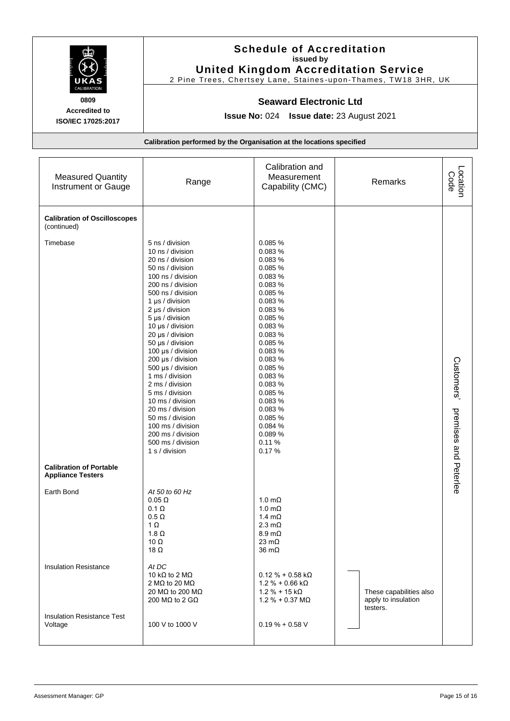

# **Schedule of Accreditation issued by United Kingdom Accreditation Service**

2 Pine Trees, Chertsey Lane, Staines -upon-Thames, TW18 3HR, UK

#### **Seaward Electronic Ltd**

**Issue No:** 024 **Issue date:** 23 August 2021

| <b>Measured Quantity</b><br>Instrument or Gauge            | Range                                                                                                                                                                                                                                                                                                                                                                                                                                                                                                                                | Calibration and<br>Measurement<br>Capability (CMC)                                                                                                                                                                                                                                    | Remarks                                                    | Location<br>Code                    |
|------------------------------------------------------------|--------------------------------------------------------------------------------------------------------------------------------------------------------------------------------------------------------------------------------------------------------------------------------------------------------------------------------------------------------------------------------------------------------------------------------------------------------------------------------------------------------------------------------------|---------------------------------------------------------------------------------------------------------------------------------------------------------------------------------------------------------------------------------------------------------------------------------------|------------------------------------------------------------|-------------------------------------|
| <b>Calibration of Oscilloscopes</b><br>(continued)         |                                                                                                                                                                                                                                                                                                                                                                                                                                                                                                                                      |                                                                                                                                                                                                                                                                                       |                                                            |                                     |
| Timebase                                                   | 5 ns / division<br>10 ns / division<br>20 ns / division<br>50 ns / division<br>100 ns / division<br>200 ns / division<br>500 ns / division<br>1 µs / division<br>2 µs / division<br>5 µs / division<br>10 µs / division<br>20 µs / division<br>50 µs / division<br>100 µs / division<br>200 µs / division<br>500 µs / division<br>1 ms / division<br>2 ms / division<br>5 ms / division<br>10 ms / division<br>20 ms / division<br>50 ms / division<br>100 ms / division<br>200 ms / division<br>500 ms / division<br>1 s / division | 0.085 %<br>0.083 %<br>0.083 %<br>0.085 %<br>0.083 %<br>0.083 %<br>0.085 %<br>0.083 %<br>0.083 %<br>0.085 %<br>0.083 %<br>0.083%<br>0.085 %<br>0.083 %<br>0.083 %<br>0.085 %<br>0.083 %<br>0.083 %<br>0.085 %<br>0.083 %<br>0.083 %<br>0.085 %<br>0.084 %<br>0.089 %<br>0.11%<br>0.17% |                                                            | Customers'<br>premises and Peterlee |
| <b>Calibration of Portable</b><br><b>Appliance Testers</b> |                                                                                                                                                                                                                                                                                                                                                                                                                                                                                                                                      |                                                                                                                                                                                                                                                                                       |                                                            |                                     |
| Earth Bond                                                 | At 50 to 60 Hz<br>$0.05 \Omega$<br>$0.1 \Omega$<br>$0.5 \Omega$<br>1 $\Omega$<br>1.8 $\Omega$<br>10 $\Omega$<br>18 $\Omega$                                                                                                                                                                                                                                                                                                                                                                                                          | $1.0 \text{ m}\Omega$<br>1.0 m $\Omega$<br>$1.4 \text{ m}\Omega$<br>$2.3 \text{ m}\Omega$<br>$8.9 \text{ m}\Omega$<br>23 $m\Omega$<br>$36 \text{ m}\Omega$                                                                                                                            |                                                            |                                     |
| <b>Insulation Resistance</b>                               | At DC<br>10 k $\Omega$ to 2 M $\Omega$<br>2 M $\Omega$ to 20 M $\Omega$<br>20 MΩ to 200 MΩ<br>200 M $\Omega$ to 2 G $\Omega$                                                                                                                                                                                                                                                                                                                                                                                                         | $0.12 \% + 0.58 k\Omega$<br>$1.2 \% + 0.66 k\Omega$<br>$1.2 \% + 15 k\Omega$<br>$1.2 % + 0.37 MΩ$                                                                                                                                                                                     | These capabilities also<br>apply to insulation<br>testers. |                                     |
| <b>Insulation Resistance Test</b><br>Voltage               | 100 V to 1000 V                                                                                                                                                                                                                                                                                                                                                                                                                                                                                                                      | $0.19% + 0.58$ V                                                                                                                                                                                                                                                                      |                                                            |                                     |